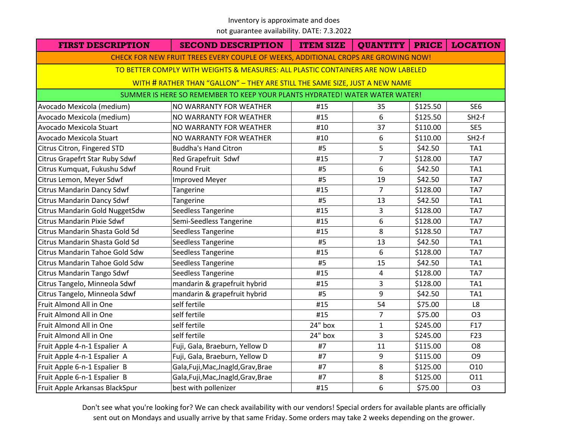#### Inventory is approximate and does

not guarantee availability. DATE: 7.3.2022

| <b>FIRST DESCRIPTION</b>                                                           | <b>SECOND DESCRIPTION</b>           | <b>ITEM SIZE</b> | QUANTITY       | <b>PRICE</b> | <b>LOCATION</b> |  |  |
|------------------------------------------------------------------------------------|-------------------------------------|------------------|----------------|--------------|-----------------|--|--|
| CHECK FOR NEW FRUIT TREES EVERY COUPLE OF WEEKS, ADDITIONAL CROPS ARE GROWING NOW! |                                     |                  |                |              |                 |  |  |
| TO BETTER COMPLY WITH WEIGHTS & MEASURES: ALL PLASTIC CONTAINERS ARE NOW LABELED   |                                     |                  |                |              |                 |  |  |
| WITH # RATHER THAN "GALLON" - THEY ARE STILL THE SAME SIZE, JUST A NEW NAME        |                                     |                  |                |              |                 |  |  |
| SUMMER IS HERE SO REMEMBER TO KEEP YOUR PLANTS HYDRATED! WATER WATER WATER!        |                                     |                  |                |              |                 |  |  |
| Avocado Mexicola (medium)                                                          | NO WARRANTY FOR WEATHER             | #15              | 35             | \$125.50     | SE <sub>6</sub> |  |  |
| Avocado Mexicola (medium)                                                          | NO WARRANTY FOR WEATHER             | #15              | 6              | \$125.50     | $SH2-f$         |  |  |
| Avocado Mexicola Stuart                                                            | NO WARRANTY FOR WEATHER             | #10              | 37             | \$110.00     | SE5             |  |  |
| Avocado Mexicola Stuart                                                            | NO WARRANTY FOR WEATHER             | #10              | 6              | \$110.00     | $SH2-f$         |  |  |
| Citrus Citron, Fingered STD                                                        | <b>Buddha's Hand Citron</b>         | #5               | 5              | \$42.50      | TA1             |  |  |
| Citrus Grapefrt Star Ruby Sdwf                                                     | Red Grapefruit Sdwf                 | #15              | $\overline{7}$ | \$128.00     | TA7             |  |  |
| Citrus Kumquat, Fukushu Sdwf                                                       | <b>Round Fruit</b>                  | #5               | 6              | \$42.50      | TA1             |  |  |
| Citrus Lemon, Meyer Sdwf                                                           | <b>Improved Meyer</b>               | #5               | 19             | \$42.50      | TA7             |  |  |
| Citrus Mandarin Dancy Sdwf                                                         | Tangerine                           | #15              | $\overline{7}$ | \$128.00     | TA7             |  |  |
| <b>Citrus Mandarin Dancy Sdwf</b>                                                  | Tangerine                           | #5               | 13             | \$42.50      | TA1             |  |  |
| Citrus Mandarin Gold NuggetSdw                                                     | Seedless Tangerine                  | #15              | 3              | \$128.00     | TA7             |  |  |
| <b>Citrus Mandarin Pixie Sdwf</b>                                                  | Semi-Seedless Tangerine             | #15              | 6              | \$128.00     | TA7             |  |  |
| Citrus Mandarin Shasta Gold Sd                                                     | Seedless Tangerine                  | #15              | 8              | \$128.50     | TA7             |  |  |
| Citrus Mandarin Shasta Gold Sd                                                     | Seedless Tangerine                  | #5               | 13             | \$42.50      | TA1             |  |  |
| Citrus Mandarin Tahoe Gold Sdw                                                     | Seedless Tangerine                  | #15              | 6              | \$128.00     | TA7             |  |  |
| Citrus Mandarin Tahoe Gold Sdw                                                     | Seedless Tangerine                  | #5               | 15             | \$42.50      | TA1             |  |  |
| Citrus Mandarin Tango Sdwf                                                         | Seedless Tangerine                  | #15              | $\overline{4}$ | \$128.00     | TA7             |  |  |
| Citrus Tangelo, Minneola Sdwf                                                      | mandarin & grapefruit hybrid        | #15              | 3              | \$128.00     | TA1             |  |  |
| Citrus Tangelo, Minneola Sdwf                                                      | mandarin & grapefruit hybrid        | #5               | 9              | \$42.50      | TA1             |  |  |
| Fruit Almond All in One                                                            | self fertile                        | #15              | 54             | \$75.00      | L8              |  |  |
| Fruit Almond All in One                                                            | self fertile                        | #15              | $\overline{7}$ | \$75.00      | O <sub>3</sub>  |  |  |
| Fruit Almond All in One                                                            | self fertile                        | 24" box          | $\mathbf{1}$   | \$245.00     | F17             |  |  |
| Fruit Almond All in One                                                            | self fertile                        | 24" box          | $\overline{3}$ | \$245.00     | F23             |  |  |
| Fruit Apple 4-n-1 Espalier A                                                       | Fuji, Gala, Braeburn, Yellow D      | #7               | 11             | \$115.00     | O <sub>8</sub>  |  |  |
| Fruit Apple 4-n-1 Espalier A                                                       | Fuji, Gala, Braeburn, Yellow D      | #7               | 9              | \$115.00     | O <sub>9</sub>  |  |  |
| Fruit Apple 6-n-1 Espalier B                                                       | Gala, Fuji, Mac, Jnagld, Grav, Brae | #7               | 8              | \$125.00     | O10             |  |  |
| Fruit Apple 6-n-1 Espalier B                                                       | Gala, Fuji, Mac, Jnagld, Grav, Brae | #7               | 8              | \$125.00     | 011             |  |  |
| Fruit Apple Arkansas BlackSpur                                                     | best with pollenizer                | #15              | 6              | \$75.00      | O <sub>3</sub>  |  |  |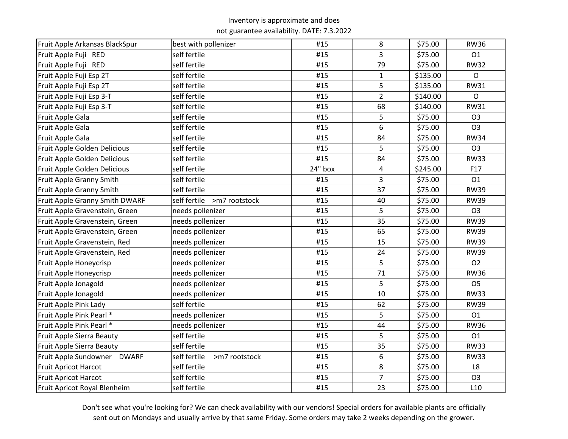| Fruit Apple Arkansas BlackSpur | best with pollenizer          | #15     | 8              | \$75.00  | <b>RW36</b>     |
|--------------------------------|-------------------------------|---------|----------------|----------|-----------------|
| Fruit Apple Fuji RED           | self fertile                  | #15     | 3              | \$75.00  | 01              |
| Fruit Apple Fuji RED           | self fertile                  | #15     | 79             | \$75.00  | <b>RW32</b>     |
| Fruit Apple Fuji Esp 2T        | self fertile                  | #15     | $\mathbf{1}$   | \$135.00 | $\mathsf{O}$    |
| Fruit Apple Fuji Esp 2T        | self fertile                  | #15     | 5              | \$135.00 | <b>RW31</b>     |
| Fruit Apple Fuji Esp 3-T       | self fertile                  | #15     | $\overline{2}$ | \$140.00 | $\mathsf{O}$    |
| Fruit Apple Fuji Esp 3-T       | self fertile                  | #15     | 68             | \$140.00 | <b>RW31</b>     |
| Fruit Apple Gala               | self fertile                  | #15     | 5              | \$75.00  | O <sub>3</sub>  |
| Fruit Apple Gala               | self fertile                  | #15     | 6              | \$75.00  | O <sub>3</sub>  |
| Fruit Apple Gala               | self fertile                  | #15     | 84             | \$75.00  | <b>RW34</b>     |
| Fruit Apple Golden Delicious   | self fertile                  | #15     | 5              | \$75.00  | O <sub>3</sub>  |
| Fruit Apple Golden Delicious   | self fertile                  | #15     | 84             | \$75.00  | <b>RW33</b>     |
| Fruit Apple Golden Delicious   | self fertile                  | 24" box | 4              | \$245.00 | F17             |
| Fruit Apple Granny Smith       | self fertile                  | #15     | 3              | \$75.00  | O1              |
| Fruit Apple Granny Smith       | self fertile                  | #15     | 37             | \$75.00  | <b>RW39</b>     |
| Fruit Apple Granny Smith DWARF | self fertile >m7 rootstock    | #15     | 40             | \$75.00  | <b>RW39</b>     |
| Fruit Apple Gravenstein, Green | needs pollenizer              | #15     | 5              | \$75.00  | O <sub>3</sub>  |
| Fruit Apple Gravenstein, Green | needs pollenizer              | #15     | 35             | \$75.00  | <b>RW39</b>     |
| Fruit Apple Gravenstein, Green | needs pollenizer              | #15     | 65             | \$75.00  | <b>RW39</b>     |
| Fruit Apple Gravenstein, Red   | needs pollenizer              | #15     | 15             | \$75.00  | <b>RW39</b>     |
| Fruit Apple Gravenstein, Red   | needs pollenizer              | #15     | 24             | \$75.00  | <b>RW39</b>     |
| Fruit Apple Honeycrisp         | needs pollenizer              | #15     | 5              | \$75.00  | <b>O2</b>       |
| Fruit Apple Honeycrisp         | needs pollenizer              | #15     | 71             | \$75.00  | <b>RW36</b>     |
| Fruit Apple Jonagold           | needs pollenizer              | #15     | 5              | \$75.00  | O <sub>5</sub>  |
| Fruit Apple Jonagold           | needs pollenizer              | #15     | 10             | \$75.00  | <b>RW33</b>     |
| Fruit Apple Pink Lady          | self fertile                  | #15     | 62             | \$75.00  | <b>RW39</b>     |
| Fruit Apple Pink Pearl *       | needs pollenizer              | #15     | 5              | \$75.00  | O1              |
| Fruit Apple Pink Pearl *       | needs pollenizer              | #15     | 44             | \$75.00  | <b>RW36</b>     |
| Fruit Apple Sierra Beauty      | self fertile                  | #15     | 5              | \$75.00  | O1              |
| Fruit Apple Sierra Beauty      | self fertile                  | #15     | 35             | \$75.00  | <b>RW33</b>     |
| Fruit Apple Sundowner DWARF    | self fertile<br>>m7 rootstock | #15     | 6              | \$75.00  | <b>RW33</b>     |
| <b>Fruit Apricot Harcot</b>    | self fertile                  | #15     | 8              | \$75.00  | L8              |
| <b>Fruit Apricot Harcot</b>    | self fertile                  | #15     | $\overline{7}$ | \$75.00  | O <sub>3</sub>  |
| Fruit Apricot Royal Blenheim   | self fertile                  | #15     | 23             | \$75.00  | L <sub>10</sub> |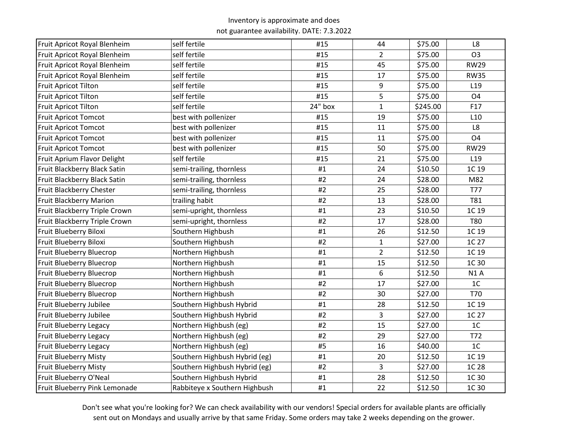| Fruit Apricot Royal Blenheim  | self fertile                  | #15     | 44             | \$75.00  | L8              |
|-------------------------------|-------------------------------|---------|----------------|----------|-----------------|
| Fruit Apricot Royal Blenheim  | self fertile                  | #15     | $\overline{2}$ | \$75.00  | O <sub>3</sub>  |
| Fruit Apricot Royal Blenheim  | self fertile                  | #15     | 45             | \$75.00  | <b>RW29</b>     |
| Fruit Apricot Royal Blenheim  | self fertile                  | #15     | 17             | \$75.00  | <b>RW35</b>     |
| Fruit Apricot Tilton          | self fertile                  | #15     | 9              | \$75.00  | L <sub>19</sub> |
| Fruit Apricot Tilton          | self fertile                  | #15     | 5              | \$75.00  | O <sub>4</sub>  |
| <b>Fruit Apricot Tilton</b>   | self fertile                  | 24" box | $\mathbf{1}$   | \$245.00 | F17             |
| <b>Fruit Apricot Tomcot</b>   | best with pollenizer          | #15     | 19             | \$75.00  | L <sub>10</sub> |
| <b>Fruit Apricot Tomcot</b>   | best with pollenizer          | #15     | 11             | \$75.00  | L8              |
| <b>Fruit Apricot Tomcot</b>   | best with pollenizer          | #15     | 11             | \$75.00  | O <sub>4</sub>  |
| <b>Fruit Apricot Tomcot</b>   | best with pollenizer          | #15     | 50             | \$75.00  | <b>RW29</b>     |
| Fruit Aprium Flavor Delight   | self fertile                  | #15     | 21             | \$75.00  | L <sub>19</sub> |
| Fruit Blackberry Black Satin  | semi-trailing, thornless      | #1      | 24             | \$10.50  | 1C 19           |
| Fruit Blackberry Black Satin  | semi-trailing, thornless      | #2      | 24             | \$28.00  | M82             |
| Fruit Blackberry Chester      | semi-trailing, thornless      | #2      | 25             | \$28.00  | <b>T77</b>      |
| Fruit Blackberry Marion       | trailing habit                | $\#2$   | 13             | \$28.00  | <b>T81</b>      |
| Fruit Blackberry Triple Crown | semi-upright, thornless       | #1      | 23             | \$10.50  | 1C 19           |
| Fruit Blackberry Triple Crown | semi-upright, thornless       | #2      | 17             | \$28.00  | <b>T80</b>      |
| Fruit Blueberry Biloxi        | Southern Highbush             | #1      | 26             | \$12.50  | 1C 19           |
| Fruit Blueberry Biloxi        | Southern Highbush             | #2      | $\mathbf{1}$   | \$27.00  | 1C 27           |
| Fruit Blueberry Bluecrop      | Northern Highbush             | #1      | $\overline{2}$ | \$12.50  | 1C 19           |
| Fruit Blueberry Bluecrop      | Northern Highbush             | #1      | 15             | \$12.50  | 1C 30           |
| Fruit Blueberry Bluecrop      | Northern Highbush             | #1      | 6              | \$12.50  | N1A             |
| Fruit Blueberry Bluecrop      | Northern Highbush             | #2      | 17             | \$27.00  | 1 <sup>C</sup>  |
| Fruit Blueberry Bluecrop      | Northern Highbush             | #2      | 30             | \$27.00  | T70             |
| Fruit Blueberry Jubilee       | Southern Highbush Hybrid      | #1      | 28             | \$12.50  | 1C 19           |
| Fruit Blueberry Jubilee       | Southern Highbush Hybrid      | #2      | 3              | \$27.00  | 1C 27           |
| <b>Fruit Blueberry Legacy</b> | Northern Highbush (eg)        | #2      | 15             | \$27.00  | 1 <sup>C</sup>  |
| Fruit Blueberry Legacy        | Northern Highbush (eg)        | #2      | 29             | \$27.00  | T72             |
| Fruit Blueberry Legacy        | Northern Highbush (eg)        | #5      | 16             | \$40.00  | 1 <sup>C</sup>  |
| <b>Fruit Blueberry Misty</b>  | Southern Highbush Hybrid (eg) | #1      | 20             | \$12.50  | 1C 19           |
| <b>Fruit Blueberry Misty</b>  | Southern Highbush Hybrid (eg) | #2      | 3              | \$27.00  | 1C 28           |
| Fruit Blueberry O'Neal        | Southern Highbush Hybrid      | #1      | 28             | \$12.50  | 1C 30           |
| Fruit Blueberry Pink Lemonade | Rabbiteye x Southern Highbush | #1      | 22             | \$12.50  | 1C 30           |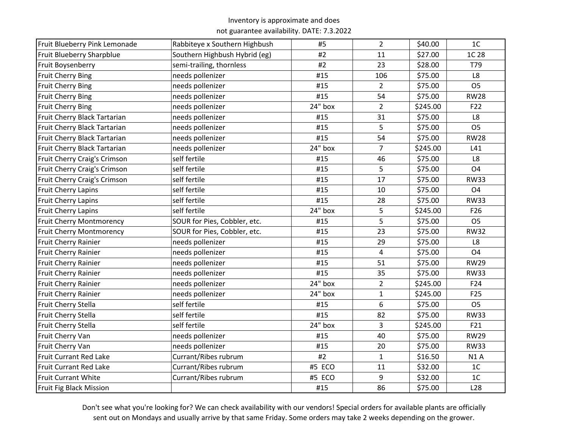| Fruit Blueberry Pink Lemonade   | Rabbiteye x Southern Highbush | #5      | $\overline{2}$ | \$40.00  | 1 <sup>C</sup>  |
|---------------------------------|-------------------------------|---------|----------------|----------|-----------------|
| Fruit Blueberry Sharpblue       | Southern Highbush Hybrid (eg) | #2      | 11             | \$27.00  | 1C 28           |
| Fruit Boysenberry               | semi-trailing, thornless      | #2      | 23             | \$28.00  | T79             |
| <b>Fruit Cherry Bing</b>        | needs pollenizer              | #15     | 106            | \$75.00  | L8              |
| <b>Fruit Cherry Bing</b>        | needs pollenizer              | #15     | $\overline{2}$ | \$75.00  | O <sub>5</sub>  |
| <b>Fruit Cherry Bing</b>        | needs pollenizer              | #15     | 54             | \$75.00  | <b>RW28</b>     |
| <b>Fruit Cherry Bing</b>        | needs pollenizer              | 24" box | $\overline{2}$ | \$245.00 | F22             |
| Fruit Cherry Black Tartarian    | needs pollenizer              | #15     | 31             | \$75.00  | L8              |
| Fruit Cherry Black Tartarian    | needs pollenizer              | #15     | 5              | \$75.00  | O <sub>5</sub>  |
| Fruit Cherry Black Tartarian    | needs pollenizer              | #15     | 54             | \$75.00  | <b>RW28</b>     |
| Fruit Cherry Black Tartarian    | needs pollenizer              | 24" box | $\overline{7}$ | \$245.00 | L41             |
| Fruit Cherry Craig's Crimson    | self fertile                  | #15     | 46             | \$75.00  | L8              |
| Fruit Cherry Craig's Crimson    | self fertile                  | #15     | 5              | \$75.00  | O <sub>4</sub>  |
| Fruit Cherry Craig's Crimson    | self fertile                  | #15     | 17             | \$75.00  | <b>RW33</b>     |
| Fruit Cherry Lapins             | self fertile                  | #15     | 10             | \$75.00  | O <sub>4</sub>  |
| Fruit Cherry Lapins             | self fertile                  | #15     | 28             | \$75.00  | <b>RW33</b>     |
| Fruit Cherry Lapins             | self fertile                  | 24" box | 5              | \$245.00 | F <sub>26</sub> |
| <b>Fruit Cherry Montmorency</b> | SOUR for Pies, Cobbler, etc.  | #15     | 5              | \$75.00  | O <sub>5</sub>  |
| <b>Fruit Cherry Montmorency</b> | SOUR for Pies, Cobbler, etc.  | #15     | 23             | \$75.00  | <b>RW32</b>     |
| Fruit Cherry Rainier            | needs pollenizer              | #15     | 29             | \$75.00  | L8              |
| Fruit Cherry Rainier            | needs pollenizer              | #15     | 4              | \$75.00  | O <sub>4</sub>  |
| Fruit Cherry Rainier            | needs pollenizer              | #15     | 51             | \$75.00  | <b>RW29</b>     |
| Fruit Cherry Rainier            | needs pollenizer              | #15     | 35             | \$75.00  | <b>RW33</b>     |
| Fruit Cherry Rainier            | needs pollenizer              | 24" box | $\overline{2}$ | \$245.00 | F24             |
| Fruit Cherry Rainier            | needs pollenizer              | 24" box | $\mathbf{1}$   | \$245.00 | F <sub>25</sub> |
| Fruit Cherry Stella             | self fertile                  | #15     | 6              | \$75.00  | O <sub>5</sub>  |
| Fruit Cherry Stella             | self fertile                  | #15     | 82             | \$75.00  | <b>RW33</b>     |
| Fruit Cherry Stella             | self fertile                  | 24" box | 3              | \$245.00 | F21             |
| Fruit Cherry Van                | needs pollenizer              | #15     | 40             | \$75.00  | <b>RW29</b>     |
| Fruit Cherry Van                | needs pollenizer              | #15     | 20             | \$75.00  | <b>RW33</b>     |
| <b>Fruit Currant Red Lake</b>   | Currant/Ribes rubrum          | #2      | $\mathbf{1}$   | \$16.50  | <b>N1A</b>      |
| <b>Fruit Currant Red Lake</b>   | Currant/Ribes rubrum          | #5 ECO  | 11             | \$32.00  | $1C$            |
| <b>Fruit Currant White</b>      | Currant/Ribes rubrum          | #5 ECO  | 9              | \$32.00  | 1 <sup>C</sup>  |
| Fruit Fig Black Mission         |                               | #15     | 86             | \$75.00  | L <sub>28</sub> |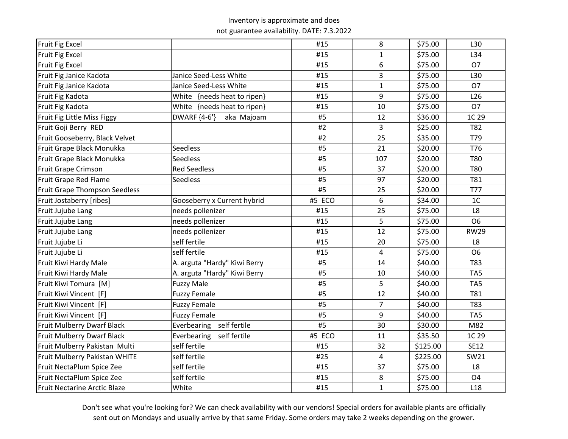| Fruit Fig Excel                      |                              | #15    | 8              | \$75.00  | L30                    |
|--------------------------------------|------------------------------|--------|----------------|----------|------------------------|
| <b>Fruit Fig Excel</b>               |                              | #15    | $\mathbf{1}$   | \$75.00  | L34                    |
| Fruit Fig Excel                      |                              | #15    | 6              | \$75.00  | O <sub>7</sub>         |
| Fruit Fig Janice Kadota              | Janice Seed-Less White       | #15    | 3              | \$75.00  | L30                    |
| Fruit Fig Janice Kadota              | Janice Seed-Less White       | #15    | $\mathbf{1}$   | \$75.00  | O <sub>7</sub>         |
| Fruit Fig Kadota                     | White {needs heat to ripen}  | #15    | 9              | \$75.00  | L26                    |
| Fruit Fig Kadota                     | White {needs heat to ripen}  | #15    | 10             | \$75.00  | 07                     |
| Fruit Fig Little Miss Figgy          | DWARF {4-6'}<br>aka Majoam   | #5     | 12             | \$36.00  | 1C 29                  |
| Fruit Goji Berry RED                 |                              | #2     | $\overline{3}$ | \$25.00  | T82                    |
| Fruit Gooseberry, Black Velvet       |                              | #2     | 25             | \$35.00  | T79                    |
| Fruit Grape Black Monukka            | <b>Seedless</b>              | #5     | 21             | \$20.00  | T76                    |
| Fruit Grape Black Monukka            | <b>Seedless</b>              | #5     | 107            | \$20.00  | T80                    |
| Fruit Grape Crimson                  | <b>Red Seedless</b>          | #5     | 37             | \$20.00  | <b>T80</b>             |
| Fruit Grape Red Flame                | <b>Seedless</b>              | #5     | 97             | \$20.00  | T81                    |
| <b>Fruit Grape Thompson Seedless</b> |                              | #5     | 25             | \$20.00  | <b>T77</b>             |
| Fruit Jostaberry [ribes]             | Gooseberry x Current hybrid  | #5 ECO | 6              | \$34.00  | 1 <sup>C</sup>         |
| Fruit Jujube Lang                    | needs pollenizer             | #15    | 25             | \$75.00  | L8                     |
| Fruit Jujube Lang                    | needs pollenizer             | #15    | 5              | \$75.00  | O <sub>6</sub>         |
| Fruit Jujube Lang                    | needs pollenizer             | #15    | 12             | \$75.00  | <b>RW29</b>            |
| Fruit Jujube Li                      | self fertile                 | #15    | 20             | \$75.00  | L8                     |
| Fruit Jujube Li                      | self fertile                 | #15    | 4              | \$75.00  | O <sub>6</sub>         |
| Fruit Kiwi Hardy Male                | A. arguta "Hardy" Kiwi Berry | #5     | 14             | \$40.00  | T83                    |
| Fruit Kiwi Hardy Male                | A. arguta "Hardy" Kiwi Berry | #5     | 10             | \$40.00  | TA <sub>5</sub>        |
| Fruit Kiwi Tomura [M]                | <b>Fuzzy Male</b>            | #5     | 5              | \$40.00  | TA <sub>5</sub>        |
| Fruit Kiwi Vincent [F]               | <b>Fuzzy Female</b>          | #5     | 12             | \$40.00  | T81                    |
| Fruit Kiwi Vincent [F]               | <b>Fuzzy Female</b>          | #5     | $\overline{7}$ | \$40.00  | T83                    |
| Fruit Kiwi Vincent [F]               | <b>Fuzzy Female</b>          | #5     | 9              | \$40.00  | TA <sub>5</sub>        |
| Fruit Mulberry Dwarf Black           | self fertile<br>Everbearing  | #5     | 30             | \$30.00  | M82                    |
| Fruit Mulberry Dwarf Black           | Everbearing self fertile     | #5 ECO | 11             | \$35.50  | 1C 29                  |
| Fruit Mulberry Pakistan Multi        | self fertile                 | #15    | 32             | \$125.00 | <b>SE12</b>            |
| Fruit Mulberry Pakistan WHITE        | self fertile                 | #25    | 4              | \$225.00 | SW21                   |
| Fruit NectaPlum Spice Zee            | self fertile                 | #15    | 37             | \$75.00  | $\mathsf{L}\mathsf{8}$ |
| Fruit NectaPlum Spice Zee            | self fertile                 | #15    | 8              | \$75.00  | O <sub>4</sub>         |
| <b>Fruit Nectarine Arctic Blaze</b>  | White                        | #15    | $\mathbf{1}$   | \$75.00  | L <sub>18</sub>        |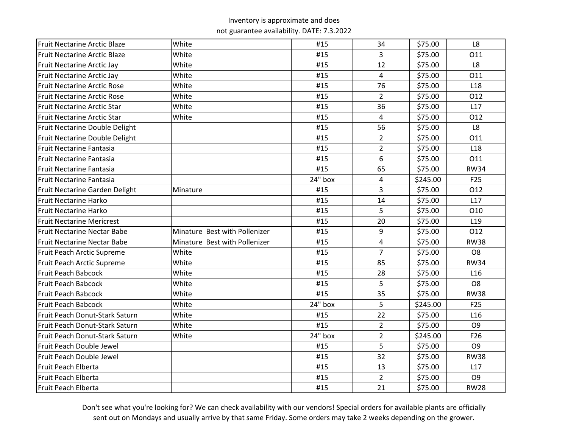| <b>Fruit Nectarine Arctic Blaze</b> | White                         | #15     | 34             | \$75.00  | L8              |
|-------------------------------------|-------------------------------|---------|----------------|----------|-----------------|
| <b>Fruit Nectarine Arctic Blaze</b> | White                         | #15     | 3              | \$75.00  | O11             |
| <b>Fruit Nectarine Arctic Jay</b>   | White                         | #15     | 12             | \$75.00  | L8              |
| <b>Fruit Nectarine Arctic Jay</b>   | White                         | #15     | 4              | \$75.00  | 011             |
| <b>Fruit Nectarine Arctic Rose</b>  | White                         | #15     | 76             | \$75.00  | L <sub>18</sub> |
| <b>Fruit Nectarine Arctic Rose</b>  | White                         | #15     | $\overline{2}$ | \$75.00  | 012             |
| Fruit Nectarine Arctic Star         | White                         | #15     | 36             | \$75.00  | L17             |
| <b>Fruit Nectarine Arctic Star</b>  | White                         | #15     | 4              | \$75.00  | O12             |
| Fruit Nectarine Double Delight      |                               | #15     | 56             | \$75.00  | L8              |
| Fruit Nectarine Double Delight      |                               | #15     | $\overline{2}$ | \$75.00  | 011             |
| Fruit Nectarine Fantasia            |                               | #15     | $\overline{2}$ | \$75.00  | L <sub>18</sub> |
| <b>Fruit Nectarine Fantasia</b>     |                               | #15     | 6              | \$75.00  | O11             |
| Fruit Nectarine Fantasia            |                               | #15     | 65             | \$75.00  | <b>RW34</b>     |
| Fruit Nectarine Fantasia            |                               | 24" box | $\overline{4}$ | \$245.00 | F <sub>25</sub> |
| Fruit Nectarine Garden Delight      | Minature                      | #15     | 3              | \$75.00  | O12             |
| <b>Fruit Nectarine Harko</b>        |                               | #15     | 14             | \$75.00  | L17             |
| <b>Fruit Nectarine Harko</b>        |                               | #15     | 5              | \$75.00  | O10             |
| <b>Fruit Nectarine Mericrest</b>    |                               | #15     | 20             | \$75.00  | L <sub>19</sub> |
| Fruit Nectarine Nectar Babe         | Minature Best with Pollenizer | #15     | 9              | \$75.00  | 012             |
| <b>Fruit Nectarine Nectar Babe</b>  | Minature Best with Pollenizer | #15     | $\overline{4}$ | \$75.00  | <b>RW38</b>     |
| Fruit Peach Arctic Supreme          | White                         | #15     | $\overline{7}$ | \$75.00  | O <sub>8</sub>  |
| Fruit Peach Arctic Supreme          | White                         | #15     | 85             | \$75.00  | <b>RW34</b>     |
| <b>Fruit Peach Babcock</b>          | White                         | #15     | 28             | \$75.00  | L16             |
| Fruit Peach Babcock                 | White                         | #15     | 5              | \$75.00  | O <sub>8</sub>  |
| <b>Fruit Peach Babcock</b>          | White                         | #15     | 35             | \$75.00  | <b>RW38</b>     |
| <b>Fruit Peach Babcock</b>          | White                         | 24" box | 5              | \$245.00 | F <sub>25</sub> |
| Fruit Peach Donut-Stark Saturn      | White                         | #15     | 22             | \$75.00  | L <sub>16</sub> |
| Fruit Peach Donut-Stark Saturn      | White                         | #15     | $\overline{2}$ | \$75.00  | O <sub>9</sub>  |
| Fruit Peach Donut-Stark Saturn      | White                         | 24" box | $\overline{2}$ | \$245.00 | F <sub>26</sub> |
| Fruit Peach Double Jewel            |                               | #15     | 5              | \$75.00  | O <sub>9</sub>  |
| Fruit Peach Double Jewel            |                               | #15     | 32             | \$75.00  | <b>RW38</b>     |
| Fruit Peach Elberta                 |                               | #15     | 13             | \$75.00  | L17             |
| Fruit Peach Elberta                 |                               | #15     | $\overline{2}$ | \$75.00  | O <sub>9</sub>  |
| Fruit Peach Elberta                 |                               | #15     | 21             | \$75.00  | <b>RW28</b>     |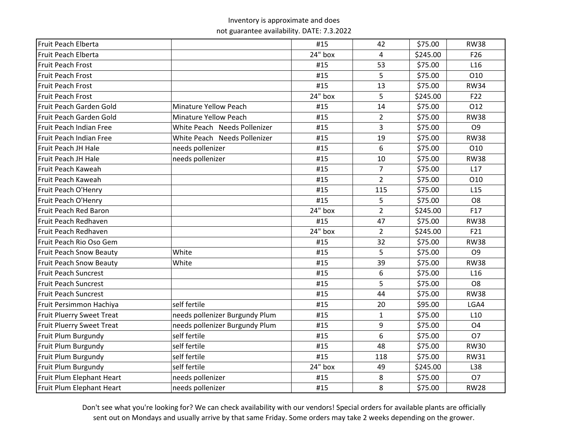| Fruit Peach Elberta              |                                | #15       | 42             | \$75.00  | <b>RW38</b>     |
|----------------------------------|--------------------------------|-----------|----------------|----------|-----------------|
| Fruit Peach Elberta              |                                | 24" box   | 4              | \$245.00 | F <sub>26</sub> |
| Fruit Peach Frost                |                                | #15       | 53             | \$75.00  | L <sub>16</sub> |
| Fruit Peach Frost                |                                | #15       | 5              | \$75.00  | O10             |
| Fruit Peach Frost                |                                | #15       | 13             | \$75.00  | <b>RW34</b>     |
| Fruit Peach Frost                |                                | 24" box   | 5              | \$245.00 | F <sub>22</sub> |
| Fruit Peach Garden Gold          | <b>Minature Yellow Peach</b>   | #15       | 14             | \$75.00  | 012             |
| Fruit Peach Garden Gold          | <b>Minature Yellow Peach</b>   | #15       | $\overline{2}$ | \$75.00  | <b>RW38</b>     |
| Fruit Peach Indian Free          | White Peach Needs Pollenizer   | #15       | 3              | \$75.00  | O <sub>9</sub>  |
| Fruit Peach Indian Free          | White Peach Needs Pollenizer   | #15       | 19             | \$75.00  | <b>RW38</b>     |
| Fruit Peach JH Hale              | needs pollenizer               | #15       | 6              | \$75.00  | 010             |
| Fruit Peach JH Hale              | needs pollenizer               | #15       | 10             | \$75.00  | <b>RW38</b>     |
| Fruit Peach Kaweah               |                                | #15       | $\overline{7}$ | \$75.00  | L17             |
| Fruit Peach Kaweah               |                                | #15       | $\overline{2}$ | \$75.00  | O10             |
| Fruit Peach O'Henry              |                                | #15       | 115            | \$75.00  | L15             |
| Fruit Peach O'Henry              |                                | #15       | 5              | \$75.00  | O <sub>8</sub>  |
| Fruit Peach Red Baron            |                                | 24" box   | $\overline{2}$ | \$245.00 | F17             |
| Fruit Peach Redhaven             |                                | #15       | 47             | \$75.00  | <b>RW38</b>     |
| Fruit Peach Redhaven             |                                | $24"$ box | $\overline{2}$ | \$245.00 | F21             |
| Fruit Peach Rio Oso Gem          |                                | #15       | 32             | \$75.00  | <b>RW38</b>     |
| <b>Fruit Peach Snow Beauty</b>   | White                          | #15       | 5              | \$75.00  | O <sub>9</sub>  |
| <b>Fruit Peach Snow Beauty</b>   | White                          | #15       | 39             | \$75.00  | <b>RW38</b>     |
| <b>Fruit Peach Suncrest</b>      |                                | #15       | 6              | \$75.00  | L <sub>16</sub> |
| <b>Fruit Peach Suncrest</b>      |                                | #15       | 5              | \$75.00  | O <sub>8</sub>  |
| <b>Fruit Peach Suncrest</b>      |                                | #15       | 44             | \$75.00  | <b>RW38</b>     |
| Fruit Persimmon Hachiya          | self fertile                   | #15       | 20             | \$95.00  | LGA4            |
| <b>Fruit Pluerry Sweet Treat</b> | needs pollenizer Burgundy Plum | #15       | $\mathbf{1}$   | \$75.00  | L <sub>10</sub> |
| <b>Fruit Pluerry Sweet Treat</b> | needs pollenizer Burgundy Plum | #15       | 9              | \$75.00  | O <sub>4</sub>  |
| Fruit Plum Burgundy              | self fertile                   | #15       | 6              | \$75.00  | <b>O7</b>       |
| Fruit Plum Burgundy              | self fertile                   | #15       | 48             | \$75.00  | <b>RW30</b>     |
| Fruit Plum Burgundy              | self fertile                   | #15       | 118            | \$75.00  | <b>RW31</b>     |
| Fruit Plum Burgundy              | self fertile                   | 24" box   | 49             | \$245.00 | L38             |
| Fruit Plum Elephant Heart        | needs pollenizer               | #15       | 8              | \$75.00  | <b>O7</b>       |
| Fruit Plum Elephant Heart        | needs pollenizer               | #15       | 8              | \$75.00  | <b>RW28</b>     |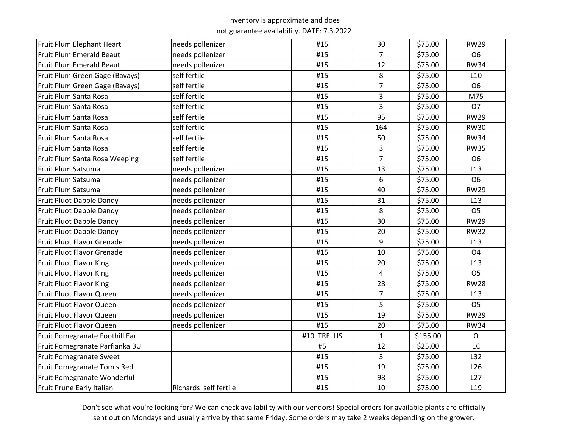| Fruit Plum Elephant Heart      | needs pollenizer      | #15         | 30             | \$75.00  | <b>RW29</b>     |
|--------------------------------|-----------------------|-------------|----------------|----------|-----------------|
| Fruit Plum Emerald Beaut       | needs pollenizer      | #15         | $\overline{7}$ | \$75.00  | O <sub>6</sub>  |
| Fruit Plum Emerald Beaut       | needs pollenizer      | #15         | 12             | \$75.00  | <b>RW34</b>     |
| Fruit Plum Green Gage (Bavays) | self fertile          | #15         | 8              | \$75.00  | L10             |
| Fruit Plum Green Gage (Bavays) | self fertile          | #15         | $\overline{7}$ | \$75.00  | O <sub>6</sub>  |
| Fruit Plum Santa Rosa          | self fertile          | #15         | 3              | \$75.00  | M75             |
| Fruit Plum Santa Rosa          | self fertile          | #15         | 3              | \$75.00  | O <sub>7</sub>  |
| Fruit Plum Santa Rosa          | self fertile          | #15         | 95             | \$75.00  | <b>RW29</b>     |
| Fruit Plum Santa Rosa          | self fertile          | #15         | 164            | \$75.00  | <b>RW30</b>     |
| Fruit Plum Santa Rosa          | self fertile          | #15         | 50             | \$75.00  | <b>RW34</b>     |
| Fruit Plum Santa Rosa          | self fertile          | #15         | 3              | \$75.00  | <b>RW35</b>     |
| Fruit Plum Santa Rosa Weeping  | self fertile          | #15         | $\overline{7}$ | \$75.00  | O <sub>6</sub>  |
| Fruit Plum Satsuma             | needs pollenizer      | #15         | 13             | \$75.00  | L13             |
| Fruit Plum Satsuma             | needs pollenizer      | #15         | 6              | \$75.00  | O <sub>6</sub>  |
| Fruit Plum Satsuma             | needs pollenizer      | #15         | 40             | \$75.00  | <b>RW29</b>     |
| Fruit Pluot Dapple Dandy       | needs pollenizer      | #15         | 31             | \$75.00  | L13             |
| Fruit Pluot Dapple Dandy       | needs pollenizer      | #15         | 8              | \$75.00  | O <sub>5</sub>  |
| Fruit Pluot Dapple Dandy       | needs pollenizer      | #15         | 30             | \$75.00  | <b>RW29</b>     |
| Fruit Pluot Dapple Dandy       | needs pollenizer      | #15         | 20             | \$75.00  | <b>RW32</b>     |
| Fruit Pluot Flavor Grenade     | needs pollenizer      | #15         | 9              | \$75.00  | L13             |
| Fruit Pluot Flavor Grenade     | needs pollenizer      | #15         | 10             | \$75.00  | O <sub>4</sub>  |
| Fruit Pluot Flavor King        | needs pollenizer      | #15         | 20             | \$75.00  | L13             |
| Fruit Pluot Flavor King        | needs pollenizer      | #15         | $\overline{4}$ | \$75.00  | O <sub>5</sub>  |
| Fruit Pluot Flavor King        | needs pollenizer      | #15         | 28             | \$75.00  | <b>RW28</b>     |
| Fruit Pluot Flavor Queen       | needs pollenizer      | #15         | $\overline{7}$ | \$75.00  | L13             |
| Fruit Pluot Flavor Queen       | needs pollenizer      | #15         | 5              | \$75.00  | O <sub>5</sub>  |
| Fruit Pluot Flavor Queen       | needs pollenizer      | #15         | 19             | \$75.00  | <b>RW29</b>     |
| Fruit Pluot Flavor Queen       | needs pollenizer      | #15         | 20             | \$75.00  | <b>RW34</b>     |
| Fruit Pomegranate Foothill Ear |                       | #10 TRELLIS | $\mathbf{1}$   | \$155.00 | $\mathsf{O}$    |
| Fruit Pomegranate Parfianka BU |                       | #5          | 12             | \$25.00  | 1 <sup>C</sup>  |
| <b>Fruit Pomegranate Sweet</b> |                       | #15         | 3              | \$75.00  | L32             |
| Fruit Pomegranate Tom's Red    |                       | #15         | 19             | \$75.00  | L <sub>26</sub> |
| Fruit Pomegranate Wonderful    |                       | #15         | 98             | \$75.00  | L27             |
| Fruit Prune Early Italian      | Richards self fertile | #15         | 10             | \$75.00  | L <sub>19</sub> |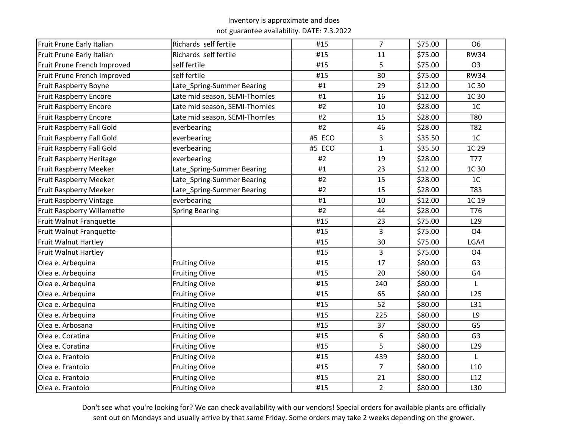| Fruit Prune Early Italian         | Richards self fertile          | #15    | $\overline{7}$ | \$75.00 | O <sub>6</sub>  |
|-----------------------------------|--------------------------------|--------|----------------|---------|-----------------|
| Fruit Prune Early Italian         | Richards self fertile          | #15    | 11             | \$75.00 | <b>RW34</b>     |
| Fruit Prune French Improved       | self fertile                   | #15    | 5              | \$75.00 | O <sub>3</sub>  |
| Fruit Prune French Improved       | self fertile                   | #15    | 30             | \$75.00 | <b>RW34</b>     |
| Fruit Raspberry Boyne             | Late_Spring-Summer Bearing     | #1     | 29             | \$12.00 | 1C 30           |
| <b>Fruit Raspberry Encore</b>     | Late mid season, SEMI-Thornles | #1     | 16             | \$12.00 | 1C 30           |
| <b>Fruit Raspberry Encore</b>     | Late mid season, SEMI-Thornles | #2     | 10             | \$28.00 | 1 <sup>C</sup>  |
| <b>Fruit Raspberry Encore</b>     | Late mid season, SEMI-Thornles | #2     | 15             | \$28.00 | <b>T80</b>      |
| Fruit Raspberry Fall Gold         | everbearing                    | #2     | 46             | \$28.00 | T82             |
| Fruit Raspberry Fall Gold         | everbearing                    | #5 ECO | 3              | \$35.50 | 1 <sub>C</sub>  |
| Fruit Raspberry Fall Gold         | everbearing                    | #5 ECO | $\mathbf{1}$   | \$35.50 | 1C 29           |
| Fruit Raspberry Heritage          | everbearing                    | #2     | 19             | \$28.00 | <b>T77</b>      |
| Fruit Raspberry Meeker            | Late_Spring-Summer Bearing     | #1     | 23             | \$12.00 | 1C 30           |
| Fruit Raspberry Meeker            | Late_Spring-Summer Bearing     | #2     | 15             | \$28.00 | 1 <sub>C</sub>  |
| <b>Fruit Raspberry Meeker</b>     | Late_Spring-Summer Bearing     | #2     | 15             | \$28.00 | T83             |
| <b>Fruit Raspberry Vintage</b>    | everbearing                    | #1     | 10             | \$12.00 | 1C 19           |
| <b>Fruit Raspberry Willamette</b> | <b>Spring Bearing</b>          | #2     | 44             | \$28.00 | T76             |
| Fruit Walnut Franquette           |                                | #15    | 23             | \$75.00 | L <sub>29</sub> |
| Fruit Walnut Franquette           |                                | #15    | 3              | \$75.00 | O <sub>4</sub>  |
| Fruit Walnut Hartley              |                                | #15    | 30             | \$75.00 | LGA4            |
| Fruit Walnut Hartley              |                                | #15    | 3              | \$75.00 | O <sub>4</sub>  |
| Olea e. Arbequina                 | <b>Fruiting Olive</b>          | #15    | 17             | \$80.00 | G <sub>3</sub>  |
| Olea e. Arbequina                 | <b>Fruiting Olive</b>          | #15    | 20             | \$80.00 | G4              |
| Olea e. Arbequina                 | <b>Fruiting Olive</b>          | #15    | 240            | \$80.00 |                 |
| Olea e. Arbequina                 | <b>Fruiting Olive</b>          | #15    | 65             | \$80.00 | L <sub>25</sub> |
| Olea e. Arbequina                 | <b>Fruiting Olive</b>          | #15    | 52             | \$80.00 | L31             |
| Olea e. Arbequina                 | <b>Fruiting Olive</b>          | #15    | 225            | \$80.00 | L9              |
| Olea e. Arbosana                  | <b>Fruiting Olive</b>          | #15    | 37             | \$80.00 | G <sub>5</sub>  |
| Olea e. Coratina                  | <b>Fruiting Olive</b>          | #15    | 6              | \$80.00 | G <sub>3</sub>  |
| Olea e. Coratina                  | <b>Fruiting Olive</b>          | #15    | 5              | \$80.00 | L <sub>29</sub> |
| Olea e. Frantoio                  | <b>Fruiting Olive</b>          | #15    | 439            | \$80.00 | L               |
| Olea e. Frantoio                  | <b>Fruiting Olive</b>          | #15    | $\overline{7}$ | \$80.00 | L10             |
| Olea e. Frantoio                  | <b>Fruiting Olive</b>          | #15    | 21             | \$80.00 | L12             |
| Olea e. Frantoio                  | <b>Fruiting Olive</b>          | #15    | $\overline{2}$ | \$80.00 | L30             |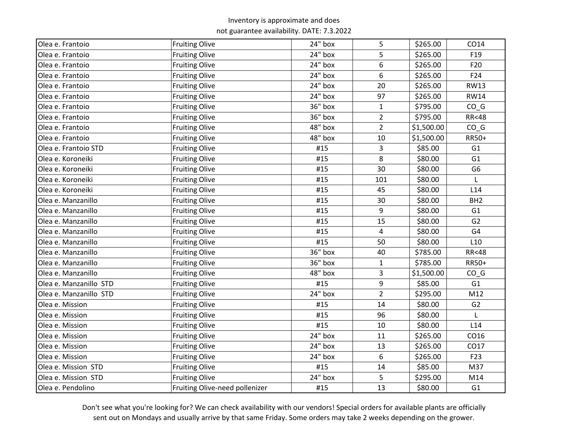| Olea e. Frantoio       | <b>Fruiting Olive</b>          | 24" box | 5              | \$265.00   | CO14            |
|------------------------|--------------------------------|---------|----------------|------------|-----------------|
| Olea e. Frantoio       | <b>Fruiting Olive</b>          | 24" box | 5              | \$265.00   | F <sub>19</sub> |
| Olea e. Frantoio       | <b>Fruiting Olive</b>          | 24" box | 6              | \$265.00   | F20             |
| Olea e. Frantoio       | <b>Fruiting Olive</b>          | 24" box | 6              | \$265.00   | F24             |
| Olea e. Frantoio       | <b>Fruiting Olive</b>          | 24" box | 20             | \$265.00   | <b>RW13</b>     |
| Olea e. Frantoio       | <b>Fruiting Olive</b>          | 24" box | 97             | \$265.00   | <b>RW14</b>     |
| Olea e. Frantoio       | <b>Fruiting Olive</b>          | 36" box | $\mathbf{1}$   | \$795.00   | $CO_G$          |
| Olea e. Frantoio       | <b>Fruiting Olive</b>          | 36" box | $\overline{2}$ | \$795.00   | <b>RR&lt;48</b> |
| Olea e. Frantoio       | <b>Fruiting Olive</b>          | 48" box | $\overline{2}$ | \$1,500.00 | $CO_G$          |
| Olea e. Frantoio       | <b>Fruiting Olive</b>          | 48" box | 10             | \$1,500.00 | RR50+           |
| Olea e. Frantoio STD   | <b>Fruiting Olive</b>          | #15     | 3              | \$85.00    | G1              |
| Olea e. Koroneiki      | <b>Fruiting Olive</b>          | #15     | 8              | \$80.00    | G <sub>1</sub>  |
| Olea e. Koroneiki      | <b>Fruiting Olive</b>          | #15     | 30             | \$80.00    | G <sub>6</sub>  |
| Olea e. Koroneiki      | <b>Fruiting Olive</b>          | #15     | 101            | \$80.00    |                 |
| Olea e. Koroneiki      | <b>Fruiting Olive</b>          | #15     | 45             | \$80.00    | L14             |
| Olea e. Manzanillo     | <b>Fruiting Olive</b>          | #15     | 30             | \$80.00    | BH <sub>2</sub> |
| Olea e. Manzanillo     | <b>Fruiting Olive</b>          | #15     | 9              | \$80.00    | G <sub>1</sub>  |
| Olea e. Manzanillo     | <b>Fruiting Olive</b>          | #15     | 15             | \$80.00    | G <sub>2</sub>  |
| Olea e. Manzanillo     | <b>Fruiting Olive</b>          | #15     | $\overline{4}$ | \$80.00    | G <sub>4</sub>  |
| Olea e. Manzanillo     | <b>Fruiting Olive</b>          | #15     | 50             | \$80.00    | L <sub>10</sub> |
| Olea e. Manzanillo     | <b>Fruiting Olive</b>          | 36" box | 40             | \$785.00   | <b>RR&lt;48</b> |
| Olea e. Manzanillo     | <b>Fruiting Olive</b>          | 36" box | $\mathbf{1}$   | \$785.00   | RR50+           |
| Olea e. Manzanillo     | <b>Fruiting Olive</b>          | 48" box | 3              | \$1,500.00 | $CO_G$          |
| Olea e. Manzanillo STD | <b>Fruiting Olive</b>          | #15     | 9              | \$85.00    | G1              |
| Olea e. Manzanillo STD | <b>Fruiting Olive</b>          | 24" box | $\overline{2}$ | \$295.00   | M12             |
| Olea e. Mission        | <b>Fruiting Olive</b>          | #15     | 14             | \$80.00    | G <sub>2</sub>  |
| Olea e. Mission        | <b>Fruiting Olive</b>          | #15     | 96             | \$80.00    |                 |
| Olea e. Mission        | <b>Fruiting Olive</b>          | #15     | 10             | \$80.00    | L14             |
| Olea e. Mission        | <b>Fruiting Olive</b>          | 24" box | 11             | \$265.00   | CO16            |
| Olea e. Mission        | <b>Fruiting Olive</b>          | 24" box | 13             | \$265.00   | CO17            |
| Olea e. Mission        | <b>Fruiting Olive</b>          | 24" box | 6              | \$265.00   | F23             |
| Olea e. Mission STD    | <b>Fruiting Olive</b>          | #15     | 14             | \$85.00    | M37             |
| Olea e. Mission STD    | <b>Fruiting Olive</b>          | 24" box | 5              | \$295.00   | M14             |
| Olea e. Pendolino      | Fruiting Olive-need pollenizer | #15     | 13             | \$80.00    | G <sub>1</sub>  |